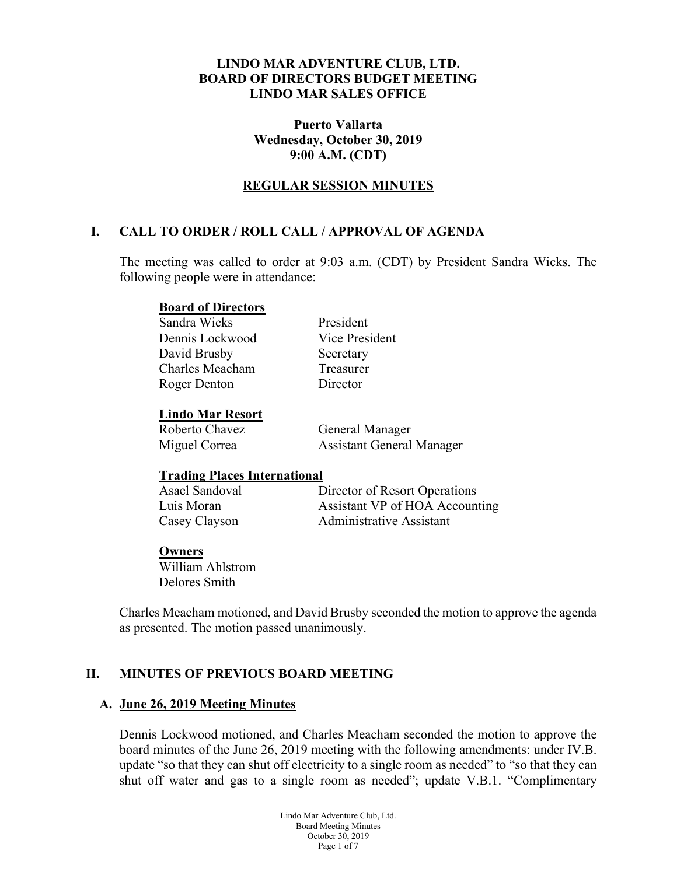### **LINDO MAR ADVENTURE CLUB, LTD. BOARD OF DIRECTORS BUDGET MEETING LINDO MAR SALES OFFICE**

### **Puerto Vallarta Wednesday, October 30, 2019 9:00 A.M. (CDT)**

## **REGULAR SESSION MINUTES**

## **I. CALL TO ORDER / ROLL CALL / APPROVAL OF AGENDA**

The meeting was called to order at 9:03 a.m. (CDT) by President Sandra Wicks. The following people were in attendance:

#### **Board of Directors**

Sandra Wicks President Dennis Lockwood Vice President David Brusby Secretary Charles Meacham Treasurer Roger Denton Director

# **Lindo Mar Resort**

General Manager Miguel Correa Assistant General Manager

### **Trading Places International**

| Asael Sandoval | Director of Resort Operations  |
|----------------|--------------------------------|
| Luis Moran     | Assistant VP of HOA Accounting |
| Casey Clayson  | Administrative Assistant       |

#### **Owners**

William Ahlstrom Delores Smith

Charles Meacham motioned, and David Brusby seconded the motion to approve the agenda as presented. The motion passed unanimously.

## **II. MINUTES OF PREVIOUS BOARD MEETING**

### **A. June 26, 2019 Meeting Minutes**

Dennis Lockwood motioned, and Charles Meacham seconded the motion to approve the board minutes of the June 26, 2019 meeting with the following amendments: under IV.B. update "so that they can shut off electricity to a single room as needed" to "so that they can shut off water and gas to a single room as needed"; update V.B.1. "Complimentary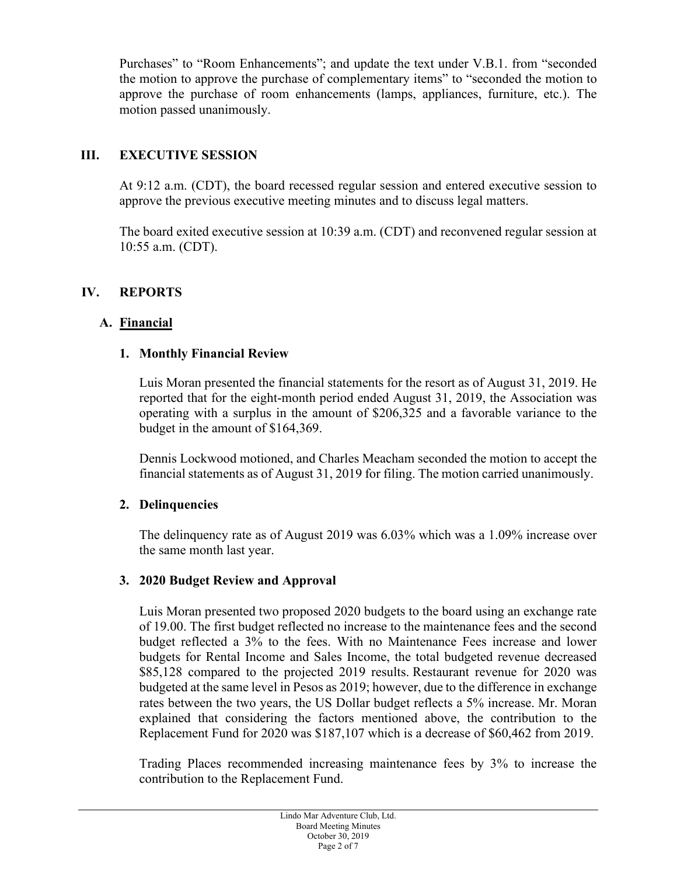Purchases" to "Room Enhancements"; and update the text under V.B.1. from "seconded the motion to approve the purchase of complementary items" to "seconded the motion to approve the purchase of room enhancements (lamps, appliances, furniture, etc.). The motion passed unanimously.

## **III. EXECUTIVE SESSION**

At 9:12 a.m. (CDT), the board recessed regular session and entered executive session to approve the previous executive meeting minutes and to discuss legal matters.

The board exited executive session at 10:39 a.m. (CDT) and reconvened regular session at 10:55 a.m. (CDT).

## **IV. REPORTS**

### **A. Financial**

### **1. Monthly Financial Review**

Luis Moran presented the financial statements for the resort as of August 31, 2019. He reported that for the eight-month period ended August 31, 2019, the Association was operating with a surplus in the amount of \$206,325 and a favorable variance to the budget in the amount of \$164,369.

Dennis Lockwood motioned, and Charles Meacham seconded the motion to accept the financial statements as of August 31, 2019 for filing. The motion carried unanimously.

### **2. Delinquencies**

The delinquency rate as of August 2019 was 6.03% which was a 1.09% increase over the same month last year.

### **3. 2020 Budget Review and Approval**

Luis Moran presented two proposed 2020 budgets to the board using an exchange rate of 19.00. The first budget reflected no increase to the maintenance fees and the second budget reflected a 3% to the fees. With no Maintenance Fees increase and lower budgets for Rental Income and Sales Income, the total budgeted revenue decreased \$85,128 compared to the projected 2019 results. Restaurant revenue for 2020 was budgeted at the same level in Pesos as 2019; however, due to the difference in exchange rates between the two years, the US Dollar budget reflects a 5% increase. Mr. Moran explained that considering the factors mentioned above, the contribution to the Replacement Fund for 2020 was \$187,107 which is a decrease of \$60,462 from 2019.

Trading Places recommended increasing maintenance fees by 3% to increase the contribution to the Replacement Fund.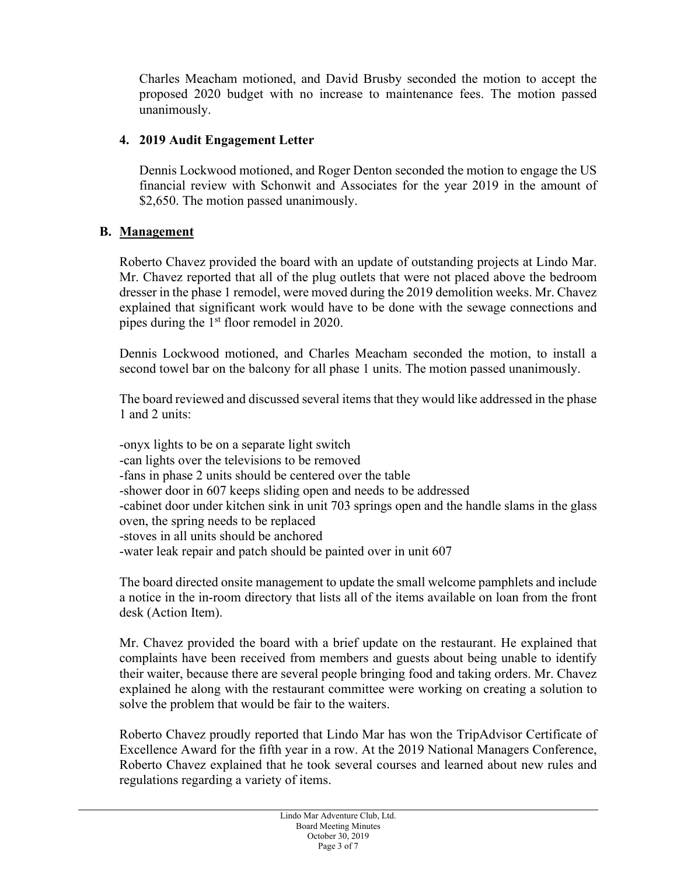Charles Meacham motioned, and David Brusby seconded the motion to accept the proposed 2020 budget with no increase to maintenance fees. The motion passed unanimously.

## **4. 2019 Audit Engagement Letter**

Dennis Lockwood motioned, and Roger Denton seconded the motion to engage the US financial review with Schonwit and Associates for the year 2019 in the amount of \$2,650. The motion passed unanimously.

## **B. Management**

Roberto Chavez provided the board with an update of outstanding projects at Lindo Mar. Mr. Chavez reported that all of the plug outlets that were not placed above the bedroom dresser in the phase 1 remodel, were moved during the 2019 demolition weeks. Mr. Chavez explained that significant work would have to be done with the sewage connections and pipes during the 1st floor remodel in 2020.

Dennis Lockwood motioned, and Charles Meacham seconded the motion, to install a second towel bar on the balcony for all phase 1 units. The motion passed unanimously.

The board reviewed and discussed several items that they would like addressed in the phase 1 and 2 units:

-onyx lights to be on a separate light switch -can lights over the televisions to be removed -fans in phase 2 units should be centered over the table -shower door in 607 keeps sliding open and needs to be addressed -cabinet door under kitchen sink in unit 703 springs open and the handle slams in the glass oven, the spring needs to be replaced -stoves in all units should be anchored -water leak repair and patch should be painted over in unit 607

The board directed onsite management to update the small welcome pamphlets and include a notice in the in-room directory that lists all of the items available on loan from the front desk (Action Item).

Mr. Chavez provided the board with a brief update on the restaurant. He explained that complaints have been received from members and guests about being unable to identify their waiter, because there are several people bringing food and taking orders. Mr. Chavez explained he along with the restaurant committee were working on creating a solution to solve the problem that would be fair to the waiters.

Roberto Chavez proudly reported that Lindo Mar has won the TripAdvisor Certificate of Excellence Award for the fifth year in a row. At the 2019 National Managers Conference, Roberto Chavez explained that he took several courses and learned about new rules and regulations regarding a variety of items.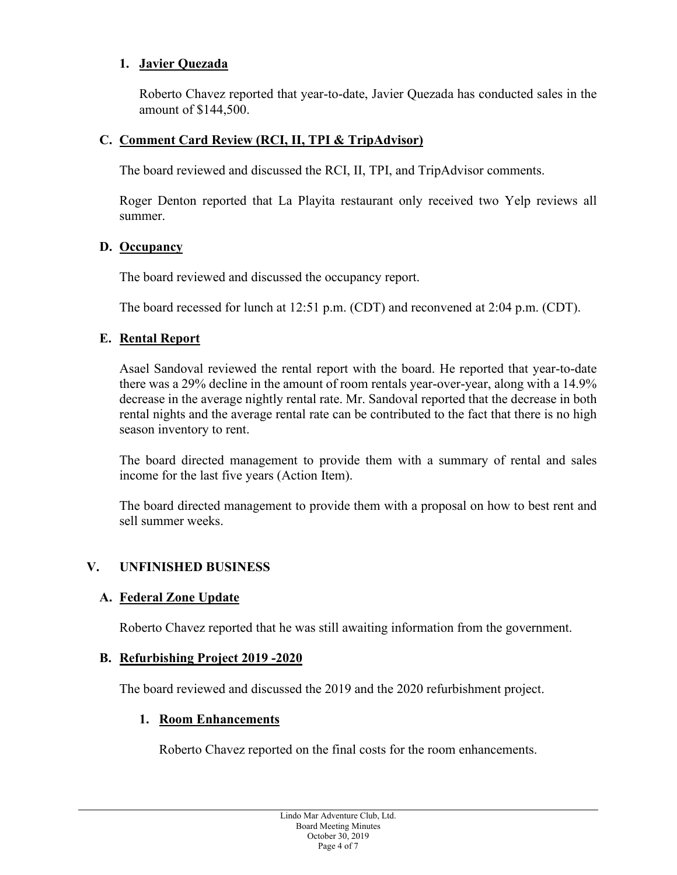## **1. Javier Quezada**

Roberto Chavez reported that year-to-date, Javier Quezada has conducted sales in the amount of \$144,500.

## **C. Comment Card Review (RCI, II, TPI & TripAdvisor)**

The board reviewed and discussed the RCI, II, TPI, and TripAdvisor comments.

Roger Denton reported that La Playita restaurant only received two Yelp reviews all summer.

### **D. Occupancy**

The board reviewed and discussed the occupancy report.

The board recessed for lunch at 12:51 p.m. (CDT) and reconvened at 2:04 p.m. (CDT).

### **E. Rental Report**

Asael Sandoval reviewed the rental report with the board. He reported that year-to-date there was a 29% decline in the amount of room rentals year-over-year, along with a 14.9% decrease in the average nightly rental rate. Mr. Sandoval reported that the decrease in both rental nights and the average rental rate can be contributed to the fact that there is no high season inventory to rent.

The board directed management to provide them with a summary of rental and sales income for the last five years (Action Item).

The board directed management to provide them with a proposal on how to best rent and sell summer weeks.

### **V. UNFINISHED BUSINESS**

### **A. Federal Zone Update**

Roberto Chavez reported that he was still awaiting information from the government.

### **B. Refurbishing Project 2019 -2020**

The board reviewed and discussed the 2019 and the 2020 refurbishment project.

### **1. Room Enhancements**

Roberto Chavez reported on the final costs for the room enhancements.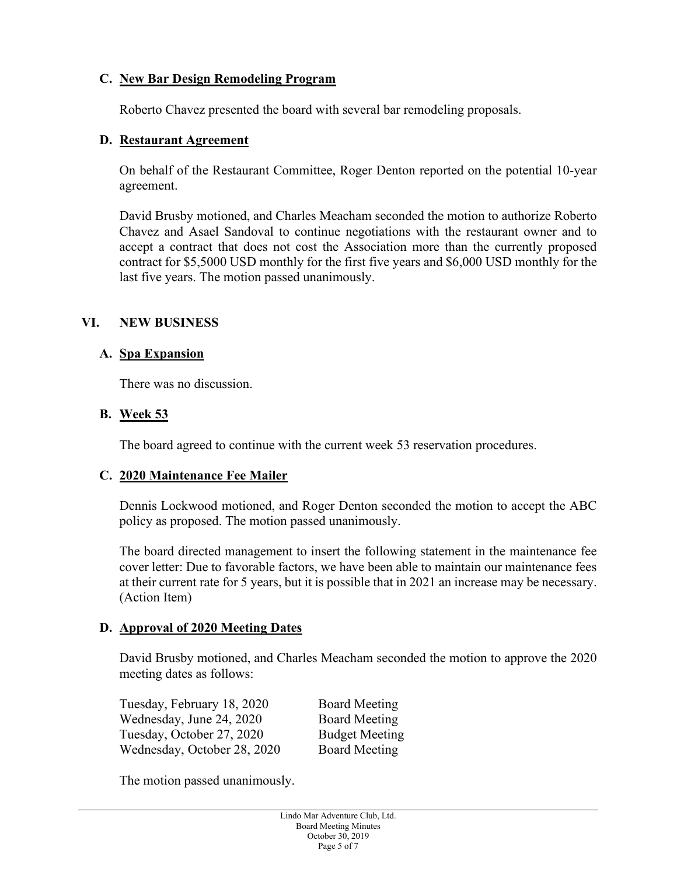## **C. New Bar Design Remodeling Program**

Roberto Chavez presented the board with several bar remodeling proposals.

## **D. Restaurant Agreement**

On behalf of the Restaurant Committee, Roger Denton reported on the potential 10-year agreement.

David Brusby motioned, and Charles Meacham seconded the motion to authorize Roberto Chavez and Asael Sandoval to continue negotiations with the restaurant owner and to accept a contract that does not cost the Association more than the currently proposed contract for \$5,5000 USD monthly for the first five years and \$6,000 USD monthly for the last five years. The motion passed unanimously.

## **VI. NEW BUSINESS**

## **A. Spa Expansion**

There was no discussion.

## **B. Week 53**

The board agreed to continue with the current week 53 reservation procedures.

### **C. 2020 Maintenance Fee Mailer**

Dennis Lockwood motioned, and Roger Denton seconded the motion to accept the ABC policy as proposed. The motion passed unanimously.

The board directed management to insert the following statement in the maintenance fee cover letter: Due to favorable factors, we have been able to maintain our maintenance fees at their current rate for 5 years, but it is possible that in 2021 an increase may be necessary. (Action Item)

### **D. Approval of 2020 Meeting Dates**

David Brusby motioned, and Charles Meacham seconded the motion to approve the 2020 meeting dates as follows:

Tuesday, February 18, 2020 Board Meeting Wednesday, June 24, 2020 Board Meeting Tuesday, October 27, 2020 Budget Meeting Wednesday, October 28, 2020 Board Meeting

The motion passed unanimously.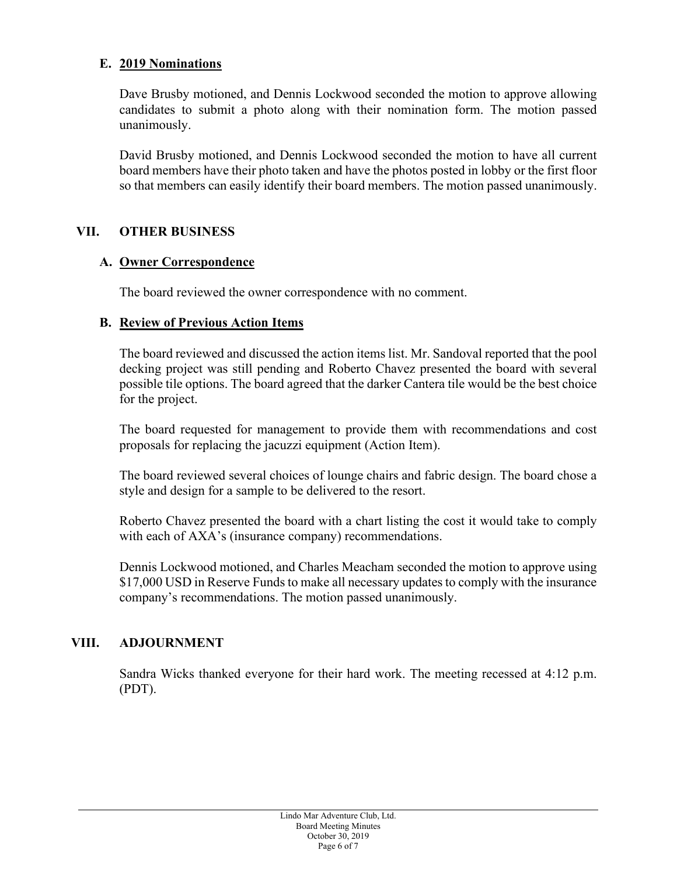## **E. 2019 Nominations**

Dave Brusby motioned, and Dennis Lockwood seconded the motion to approve allowing candidates to submit a photo along with their nomination form. The motion passed unanimously.

David Brusby motioned, and Dennis Lockwood seconded the motion to have all current board members have their photo taken and have the photos posted in lobby or the first floor so that members can easily identify their board members. The motion passed unanimously.

## **VII. OTHER BUSINESS**

### **A. Owner Correspondence**

The board reviewed the owner correspondence with no comment.

### **B. Review of Previous Action Items**

The board reviewed and discussed the action items list. Mr. Sandoval reported that the pool decking project was still pending and Roberto Chavez presented the board with several possible tile options. The board agreed that the darker Cantera tile would be the best choice for the project.

The board requested for management to provide them with recommendations and cost proposals for replacing the jacuzzi equipment (Action Item).

The board reviewed several choices of lounge chairs and fabric design. The board chose a style and design for a sample to be delivered to the resort.

Roberto Chavez presented the board with a chart listing the cost it would take to comply with each of AXA's (insurance company) recommendations.

Dennis Lockwood motioned, and Charles Meacham seconded the motion to approve using \$17,000 USD in Reserve Funds to make all necessary updates to comply with the insurance company's recommendations. The motion passed unanimously.

### **VIII. ADJOURNMENT**

Sandra Wicks thanked everyone for their hard work. The meeting recessed at 4:12 p.m. (PDT).